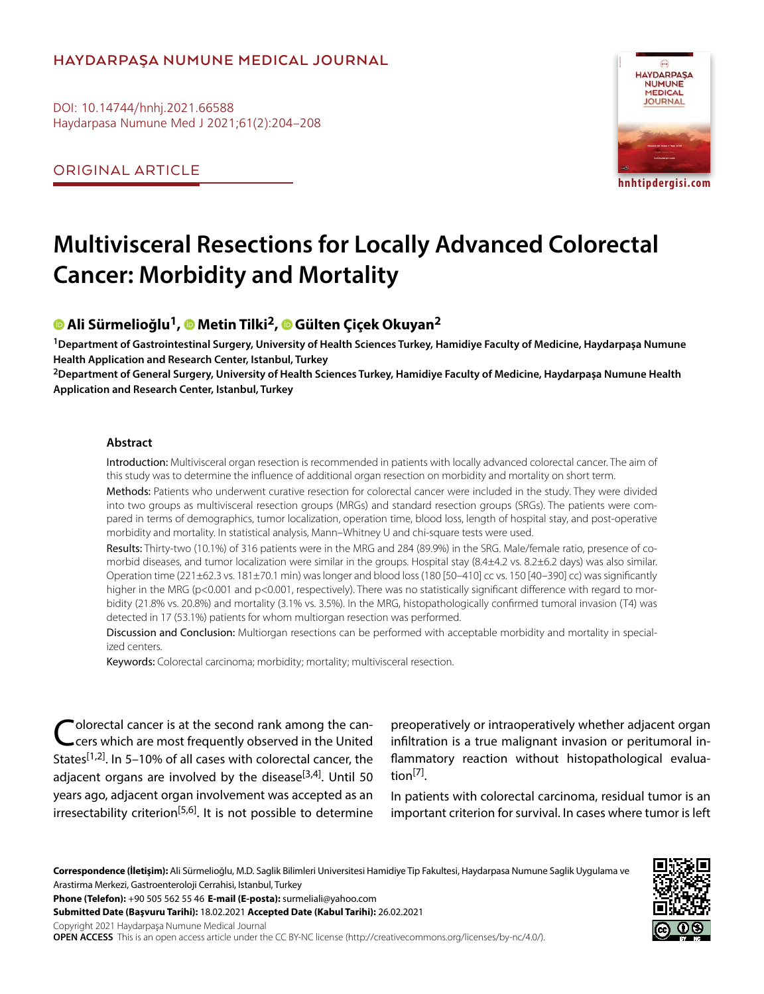### **HAYDARPAŞA NUMUNE MEDICAL JOURNAL**

DOI: 10.14744/hnhj.2021.66588 Haydarpasa Numune Med J 2021;61(2):204–208

ORIGINAL ARTICLE



**hnhtipdergisi.com**

# **Multivisceral Resections for Locally Advanced Colorectal Cancer: Morbidity and Mortality**

## **Ali Sürmelioğlu1,Metin Tilki2[,](https://orcid.org/0000-0002-9909-1840) Gülten Çiçek Okuyan2**

**1Department of Gastrointestinal Surgery, University of Health Sciences Turkey, Hamidiye Faculty of Medicine, Haydarpaşa Numune Health Application and Research Center, Istanbul, Turkey**

**2Department of General Surgery, University of Health Sciences Turkey, Hamidiye Faculty of Medicine, Haydarpaşa Numune Health Application and Research Center, Istanbul, Turkey**

#### **Abstract**

Introduction: Multivisceral organ resection is recommended in patients with locally advanced colorectal cancer. The aim of this study was to determine the influence of additional organ resection on morbidity and mortality on short term.

Methods: Patients who underwent curative resection for colorectal cancer were included in the study. They were divided into two groups as multivisceral resection groups (MRGs) and standard resection groups (SRGs). The patients were compared in terms of demographics, tumor localization, operation time, blood loss, length of hospital stay, and post-operative morbidity and mortality. In statistical analysis, Mann–Whitney U and chi-square tests were used.

Results: Thirty-two (10.1%) of 316 patients were in the MRG and 284 (89.9%) in the SRG. Male/female ratio, presence of comorbid diseases, and tumor localization were similar in the groups. Hospital stay (8.4±4.2 vs. 8.2±6.2 days) was also similar. Operation time (221 $\pm$ 62.3 vs. 181 $\pm$ 70.1 min) was longer and blood loss (180 [50–410] cc vs. 150 [40–390] cc) was significantly higher in the MRG (p<0.001 and p<0.001, respectively). There was no statistically significant difference with regard to morbidity (21.8% vs. 20.8%) and mortality (3.1% vs. 3.5%). In the MRG, histopathologically confirmed tumoral invasion (T4) was detected in 17 (53.1%) patients for whom multiorgan resection was performed.

Discussion and Conclusion: Multiorgan resections can be performed with acceptable morbidity and mortality in specialized centers.

Keywords: Colorectal carcinoma; morbidity; mortality; multivisceral resection.

Colorectal cancer is at the second rank among the can-<br>Cers which are most frequently observed in the United States<sup>[1,2]</sup>. In 5-10% of all cases with colorectal cancer, the adjacent organs are involved by the disease $^{[3,4]}$ . Until 50 years ago, adjacent organ involvement was accepted as an irresectability criterion<sup>[5,6]</sup>. It is not possible to determine

preoperatively or intraoperatively whether adjacent organ infiltration is a true malignant invasion or peritumoral inflammatory reaction without histopathological evaluation<sup>[7]</sup>.

In patients with colorectal carcinoma, residual tumor is an important criterion for survival. In cases where tumor is left

**Correspondence (İletişim):** Ali Sürmelioğlu, M.D. Saglik Bilimleri Universitesi Hamidiye Tip Fakultesi, Haydarpasa Numune Saglik Uygulama ve Arastirma Merkezi, Gastroenteroloji Cerrahisi, Istanbul, Turkey

**Phone (Telefon):** +90 505 562 55 46 **E-mail (E-posta):** surmeliali@yahoo.com

**Submitted Date (Başvuru Tarihi):** 18.02.2021 **Accepted Date (Kabul Tarihi):** 26.02.2021

Copyright 2021 Haydarpaşa Numune Medical Journal

**OPEN ACCESS** This is an open access article under the CC BY-NC license (http://creativecommons.org/licenses/by-nc/4.0/).

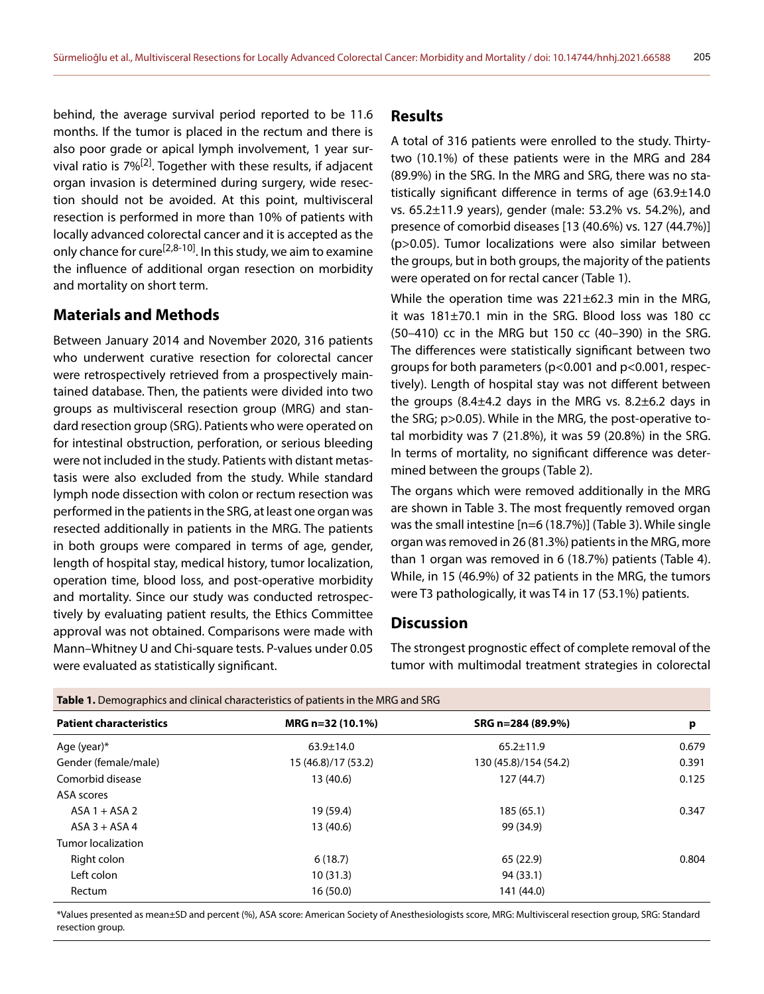behind, the average survival period reported to be 11.6 months. If the tumor is placed in the rectum and there is also poor grade or apical lymph involvement, 1 year survival ratio is 7%[2]. Together with these results, if adjacent organ invasion is determined during surgery, wide resection should not be avoided. At this point, multivisceral resection is performed in more than 10% of patients with locally advanced colorectal cancer and it is accepted as the only chance for cure<sup>[2,8-10]</sup>. In this study, we aim to examine the influence of additional organ resection on morbidity and mortality on short term.

#### **Materials and Methods**

Between January 2014 and November 2020, 316 patients who underwent curative resection for colorectal cancer were retrospectively retrieved from a prospectively maintained database. Then, the patients were divided into two groups as multivisceral resection group (MRG) and standard resection group (SRG). Patients who were operated on for intestinal obstruction, perforation, or serious bleeding were not included in the study. Patients with distant metastasis were also excluded from the study. While standard lymph node dissection with colon or rectum resection was performed in the patients in the SRG, at least one organ was resected additionally in patients in the MRG. The patients in both groups were compared in terms of age, gender, length of hospital stay, medical history, tumor localization, operation time, blood loss, and post-operative morbidity and mortality. Since our study was conducted retrospectively by evaluating patient results, the Ethics Committee approval was not obtained. Comparisons were made with Mann–Whitney U and Chi-square tests. P-values under 0.05 were evaluated as statistically significant.

#### **Results**

A total of 316 patients were enrolled to the study. Thirtytwo (10.1%) of these patients were in the MRG and 284 (89.9%) in the SRG. In the MRG and SRG, there was no statistically significant difference in terms of age (63.9±14.0 vs. 65.2±11.9 years), gender (male: 53.2% vs. 54.2%), and presence of comorbid diseases [13 (40.6%) vs. 127 (44.7%)] (p>0.05). Tumor localizations were also similar between the groups, but in both groups, the majority of the patients were operated on for rectal cancer (Table 1).

While the operation time was 221±62.3 min in the MRG, it was 181±70.1 min in the SRG. Blood loss was 180 cc (50–410) cc in the MRG but 150 cc (40–390) in the SRG. The differences were statistically significant between two groups for both parameters (p<0.001 and p<0.001, respectively). Length of hospital stay was not different between the groups  $(8.4\pm4.2$  days in the MRG vs.  $8.2\pm6.2$  days in the SRG; p>0.05). While in the MRG, the post-operative total morbidity was 7 (21.8%), it was 59 (20.8%) in the SRG. In terms of mortality, no significant difference was determined between the groups (Table 2).

The organs which were removed additionally in the MRG are shown in Table 3. The most frequently removed organ was the small intestine [n=6 (18.7%)] (Table 3). While single organ was removed in 26 (81.3%) patients in the MRG, more than 1 organ was removed in 6 (18.7%) patients (Table 4). While, in 15 (46.9%) of 32 patients in the MRG, the tumors were T3 pathologically, it was T4 in 17 (53.1%) patients.

#### **Discussion**

The strongest prognostic effect of complete removal of the tumor with multimodal treatment strategies in colorectal

| - 1                            |                     |                       |       |
|--------------------------------|---------------------|-----------------------|-------|
| <b>Patient characteristics</b> | MRG n=32 (10.1%)    | SRG n=284 (89.9%)     | p     |
| Age (year)*                    | $63.9 \pm 14.0$     | $65.2 \pm 11.9$       | 0.679 |
| Gender (female/male)           | 15 (46.8)/17 (53.2) | 130 (45.8)/154 (54.2) | 0.391 |
| Comorbid disease               | 13 (40.6)           | 127(44.7)             | 0.125 |
| ASA scores                     |                     |                       |       |
| $ASA1 + ASA2$                  | 19 (59.4)           | 185 (65.1)            | 0.347 |
| $ASA$ 3 + ASA 4                | 13 (40.6)           | 99 (34.9)             |       |
| Tumor localization             |                     |                       |       |
| Right colon                    | 6(18.7)             | 65 (22.9)             | 0.804 |
| Left colon                     | 10(31.3)            | 94 (33.1)             |       |
| Rectum                         | 16 (50.0)           | 141 (44.0)            |       |
|                                |                     |                       |       |

**Table 1.** Demographics and clinical characteristics of patients in the MRG and SRG

\*Values presented as mean±SD and percent (%), ASA score: American Society of Anesthesiologists score, MRG: Multivisceral resection group, SRG: Standard resection group.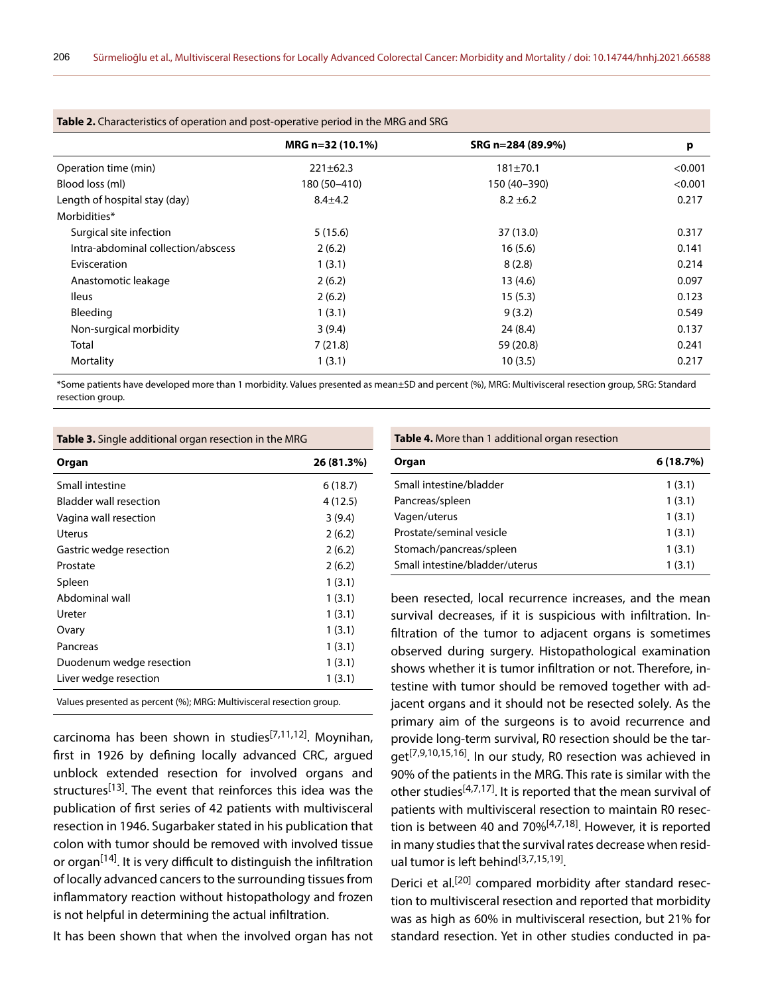| Table 2. Characterístics of operation and post-operative period in the MKG and SKG |                  |                   |         |  |  |
|------------------------------------------------------------------------------------|------------------|-------------------|---------|--|--|
|                                                                                    | MRG n=32 (10.1%) | SRG n=284 (89.9%) | p       |  |  |
| Operation time (min)                                                               | $221 \pm 62.3$   | $181 \pm 70.1$    | < 0.001 |  |  |
| Blood loss (ml)                                                                    | 180 (50-410)     | 150 (40-390)      | < 0.001 |  |  |
| Length of hospital stay (day)                                                      | $8.4 \pm 4.2$    | $8.2 \pm 6.2$     | 0.217   |  |  |
| Morbidities*                                                                       |                  |                   |         |  |  |
| Surgical site infection                                                            | 5(15.6)          | 37(13.0)          | 0.317   |  |  |
| Intra-abdominal collection/abscess                                                 | 2(6.2)           | 16(5.6)           | 0.141   |  |  |
| Evisceration                                                                       | 1(3.1)           | 8(2.8)            | 0.214   |  |  |
| Anastomotic leakage                                                                | 2(6.2)           | 13(4.6)           | 0.097   |  |  |
| <b>Ileus</b>                                                                       | 2(6.2)           | 15(5.3)           | 0.123   |  |  |
| Bleeding                                                                           | 1(3.1)           | 9(3.2)            | 0.549   |  |  |
| Non-surgical morbidity                                                             | 3(9.4)           | 24(8.4)           | 0.137   |  |  |
| Total                                                                              | 7(21.8)          | 59 (20.8)         | 0.241   |  |  |
| Mortality                                                                          | 1(3.1)           | 10(3.5)           | 0.217   |  |  |

**Table 2.** Characteristics of operation and post-operative period in the MRG and SRG

\*Some patients have developed more than 1 morbidity. Values presented as mean±SD and percent (%), MRG: Multivisceral resection group, SRG: Standard resection group.

|  | Table 3. Single additional organ resection in the MRG |
|--|-------------------------------------------------------|
|  |                                                       |

| Organ                         | 26 (81.3%) |
|-------------------------------|------------|
| Small intestine               | 6(18.7)    |
| <b>Bladder wall resection</b> | 4 (12.5)   |
| Vagina wall resection         | 3(9.4)     |
| Uterus                        | 2(6.2)     |
| Gastric wedge resection       | 2(6.2)     |
| Prostate                      | 2(6.2)     |
| Spleen                        | 1(3.1)     |
| Abdominal wall                | 1(3.1)     |
| Ureter                        | 1(3.1)     |
| Ovary                         | 1(3.1)     |
| Pancreas                      | 1(3.1)     |
| Duodenum wedge resection      | 1(3.1)     |
| Liver wedge resection         | 1(3.1)     |

Values presented as percent (%); MRG: Multivisceral resection group.

carcinoma has been shown in studies<sup>[7,11,12]</sup>. Moynihan, first in 1926 by defining locally advanced CRC, argued unblock extended resection for involved organs and structures<sup>[13]</sup>. The event that reinforces this idea was the publication of first series of 42 patients with multivisceral resection in 1946. Sugarbaker stated in his publication that colon with tumor should be removed with involved tissue or organ<sup>[14]</sup>. It is very difficult to distinguish the infiltration of locally advanced cancers to the surrounding tissues from inflammatory reaction without histopathology and frozen is not helpful in determining the actual infiltration.

It has been shown that when the involved organ has not

**Table 4.** More than 1 additional organ resection

| Organ                          | 6(18.7%) |
|--------------------------------|----------|
| Small intestine/bladder        | 1(3.1)   |
| Pancreas/spleen                | 1(3.1)   |
| Vagen/uterus                   | 1(3.1)   |
| Prostate/seminal vesicle       | 1(3.1)   |
| Stomach/pancreas/spleen        | 1(3.1)   |
| Small intestine/bladder/uterus | 1(3.1)   |

been resected, local recurrence increases, and the mean survival decreases, if it is suspicious with infiltration. Infiltration of the tumor to adjacent organs is sometimes observed during surgery. Histopathological examination shows whether it is tumor infiltration or not. Therefore, intestine with tumor should be removed together with adjacent organs and it should not be resected solely. As the primary aim of the surgeons is to avoid recurrence and provide long-term survival, R0 resection should be the target<sup>[7,9,10,15,16]</sup>. In our study, R0 resection was achieved in 90% of the patients in the MRG. This rate is similar with the other studies<sup>[4,7,17]</sup>. It is reported that the mean survival of patients with multivisceral resection to maintain R0 resection is between 40 and  $70\%$ <sup>[4,7,18]</sup>. However, it is reported in many studies that the survival rates decrease when residual tumor is left behind<sup>[3,7,15,19]</sup>.

Derici et al.<sup>[20]</sup> compared morbidity after standard resection to multivisceral resection and reported that morbidity was as high as 60% in multivisceral resection, but 21% for standard resection. Yet in other studies conducted in pa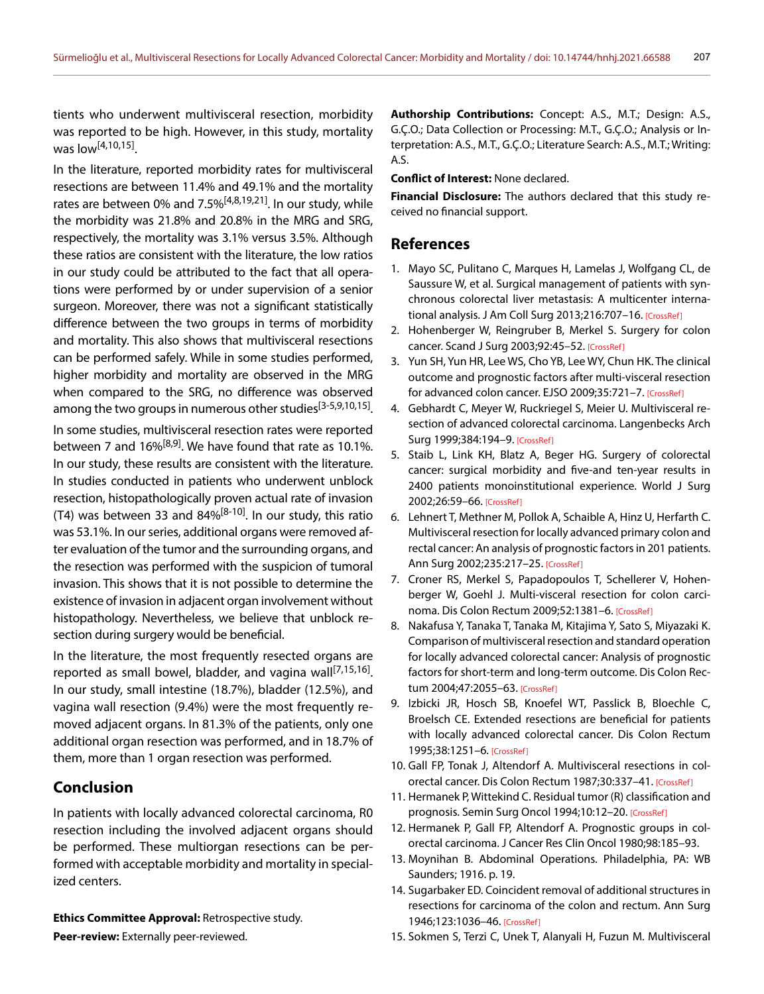tients who underwent multivisceral resection, morbidity was reported to be high. However, in this study, mortality was low<sup>[4,10,15]</sup>.

In the literature, reported morbidity rates for multivisceral resections are between 11.4% and 49.1% and the mortality rates are between 0% and 7.5%<sup>[4,8,19,21]</sup>. In our study, while the morbidity was 21.8% and 20.8% in the MRG and SRG, respectively, the mortality was 3.1% versus 3.5%. Although these ratios are consistent with the literature, the low ratios in our study could be attributed to the fact that all operations were performed by or under supervision of a senior surgeon. Moreover, there was not a significant statistically difference between the two groups in terms of morbidity and mortality. This also shows that multivisceral resections can be performed safely. While in some studies performed, higher morbidity and mortality are observed in the MRG when compared to the SRG, no difference was observed among the two groups in numerous other studies<sup>[3-5,9,10,15]</sup>.

In some studies, multivisceral resection rates were reported between 7 and  $16\%^{[8,9]}$ . We have found that rate as 10.1%. In our study, these results are consistent with the literature. In studies conducted in patients who underwent unblock resection, histopathologically proven actual rate of invasion (T4) was between 33 and  $84\%^{[8-10]}$ . In our study, this ratio was 53.1%. In our series, additional organs were removed after evaluation of the tumor and the surrounding organs, and the resection was performed with the suspicion of tumoral invasion. This shows that it is not possible to determine the existence of invasion in adjacent organ involvement without histopathology. Nevertheless, we believe that unblock resection during surgery would be beneficial.

In the literature, the most frequently resected organs are reported as small bowel, bladder, and vagina wall<sup>[7,15,16]</sup>. In our study, small intestine (18.7%), bladder (12.5%), and vagina wall resection (9.4%) were the most frequently removed adjacent organs. In 81.3% of the patients, only one additional organ resection was performed, and in 18.7% of them, more than 1 organ resection was performed.

#### **Conclusion**

In patients with locally advanced colorectal carcinoma, R0 resection including the involved adjacent organs should be performed. These multiorgan resections can be performed with acceptable morbidity and mortality in specialized centers.

**Ethics Committee Approval:** Retrospective study.

**Peer-review:** Externally peer-reviewed.

**Authorship Contributions:** Concept: A.S., M.T.; Design: A.S., G.Ç.O.; Data Collection or Processing: M.T., G.Ç.O.; Analysis or Interpretation: A.S., M.T., G.Ç.O.; Literature Search: A.S., M.T.; Writing: A.S.

**Conflict of Interest:** None declared.

**Financial Disclosure:** The authors declared that this study received no financial support.

#### **References**

- 1. Mayo SC, Pulitano C, Marques H, Lamelas J, Wolfgang CL, de Saussure W, et al. Surgical management of patients with synchronous colorectal liver metastasis: A multicenter interna-tional analysis. J Am Coll Surg 2013;216:707-1[6. \[CrossRef\]](https://doi.org/10.1016/j.jamcollsurg.2012.12.029)
- 2. Hohenberger W, Reingruber B, Merkel S. Surgery for colon cancer. Scand J Surg 2003;92:45–52. [\[CrossRef\]](https://doi.org/10.1177/145749690309200107)
- 3. Yun SH, Yun HR, Lee WS, Cho YB, Lee WY, Chun HK. The clinical outcome and prognostic factors after multi-visceral resection for advanced colon cancer. EJSO 2009;35:721–7[. \[CrossRef\]](https://doi.org/10.1016/j.ejso.2008.01.024)
- 4. Gebhardt C, Meyer W, Ruckriegel S, Meier U. Multivisceral resection of advanced colorectal carcinoma. Langenbecks Arch Surg 1999;384:194–[9. \[CrossRef\]](https://doi.org/10.1007/s004230050191)
- 5. Staib L, Link KH, Blatz A, Beger HG. Surgery of colorectal cancer: surgical morbidity and five-and ten-year results in 2400 patients monoinstitutional experience. World J Surg 2002;26:59–6[6. \[CrossRef\]](https://doi.org/10.1007/s00268-001-0182-5)
- 6. Lehnert T, Methner M, Pollok A, Schaible A, Hinz U, Herfarth C. Multivisceral resection for locally advanced primary colon and rectal cancer: An analysis of prognostic factors in 201 patients. Ann Surg 2002;235:217–2[5. \[CrossRef\]](https://doi.org/10.1097/00000658-200202000-00009)
- 7. Croner RS, Merkel S, Papadopoulos T, Schellerer V, Hohenberger W, Goehl J. Multi-visceral resection for colon carcinoma. Dis Colon Rectum 2009;52:1381–[6. \[CrossRef\]](https://doi.org/10.1007/DCR.0b013e3181ab580b)
- 8. Nakafusa Y, Tanaka T, Tanaka M, Kitajima Y, Sato S, Miyazaki K. Comparison of multivisceral resection and standard operation for locally advanced colorectal cancer: Analysis of prognostic factors for short-term and long-term outcome. Dis Colon Rectum 2004;47:2055–[63. \[CrossRef\]](https://doi.org/10.1007/s10350-004-0716-7)
- 9. Izbicki JR, Hosch SB, Knoefel WT, Passlick B, Bloechle C, Broelsch CE. Extended resections are beneficial for patients with locally advanced colorectal cancer. Dis Colon Rectum 1995;38:1251–[6. \[CrossRef\]](https://doi.org/10.1007/BF02049148)
- 10. Gall FP, Tonak J, Altendorf A. Multivisceral resections in colorectal cancer. Dis Colon Rectum 1987;30:337–41[. \[CrossRef\]](https://doi.org/10.1007/BF02555450)
- 11. Hermanek P, Wittekind C. Residual tumor (R) classification and prognosis. Semin Surg Oncol 1994;10:12-2[0. \[CrossRef\]](https://doi.org/10.1002/ssu.2980100105)
- 12. Hermanek P, Gall FP, Altendorf A. Prognostic groups in colorectal carcinoma. J Cancer Res Clin Oncol 1980;98:185–93.
- 13. Moynihan B. Abdominal Operations. Philadelphia, PA: WB Saunders; 1916. p. 19.
- 14. Sugarbaker ED. Coincident removal of additional structures in resections for carcinoma of the colon and rectum. Ann Surg 1946;123:1036–46[. \[CrossRef\]](https://doi.org/10.1097/00000658-194606000-00007)
- 15. Sokmen S, Terzi C, Unek T, Alanyali H, Fuzun M. Multivisceral